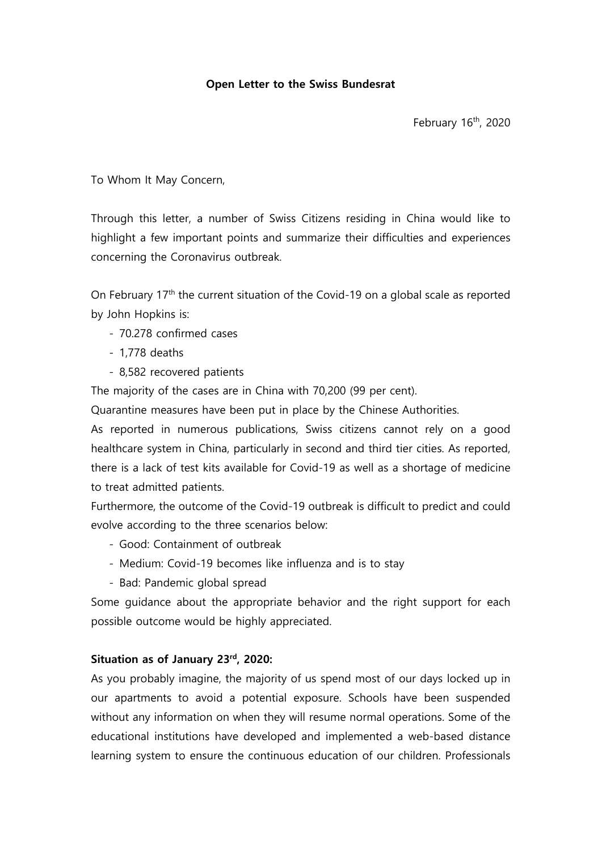### **Open Letter to the Swiss Bundesrat**

To Whom It May Concern,

Through this letter, a number of Swiss Citizens residing in China would like to highlight a few important points and summarize their difficulties and experiences concerning the Coronavirus outbreak.

On February 17th the current situation of the Covid-19 on a global scale as reported by John Hopkins is:

- 70.278 confirmed cases
- 1,778 deaths
- 8,582 recovered patients

The majority of the cases are in China with 70,200 (99 per cent).

Quarantine measures have been put in place by the Chinese Authorities.

As reported in numerous publications, Swiss citizens cannot rely on a good healthcare system in China, particularly in second and third tier cities. As reported, there is a lack of test kits available for Covid-19 as well as a shortage of medicine to treat admitted patients.

Furthermore, the outcome of the Covid-19 outbreak is difficult to predict and could evolve according to the three scenarios below:

- Good: Containment of outbreak
- Medium: Covid-19 becomes like influenza and is to stay
- Bad: Pandemic global spread

Some guidance about the appropriate behavior and the right support for each possible outcome would be highly appreciated.

# **Situation as of January 23rd, 2020:**

As you probably imagine, the majority of us spend most of our days locked up in our apartments to avoid a potential exposure. Schools have been suspended without any information on when they will resume normal operations. Some of the educational institutions have developed and implemented a web-based distance learning system to ensure the continuous education of our children. Professionals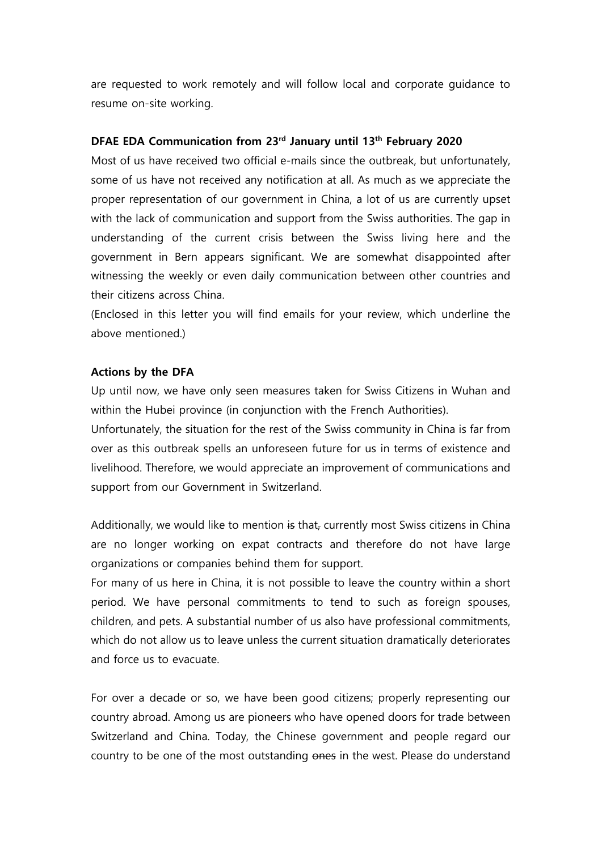are requested to work remotely and will follow local and corporate guidance to resume on-site working.

#### **DFAE EDA Communication from 23rd January until 13th February 2020**

Most of us have received two official e-mails since the outbreak, but unfortunately, some of us have not received any notification at all. As much as we appreciate the proper representation of our government in China, a lot of us are currently upset with the lack of communication and support from the Swiss authorities. The gap in understanding of the current crisis between the Swiss living here and the government in Bern appears significant. We are somewhat disappointed after witnessing the weekly or even daily communication between other countries and their citizens across China.

(Enclosed in this letter you will find emails for your review, which underline the above mentioned.)

### **Actions by the DFA**

Up until now, we have only seen measures taken for Swiss Citizens in Wuhan and within the Hubei province (in conjunction with the French Authorities).

Unfortunately, the situation for the rest of the Swiss community in China is far from over as this outbreak spells an unforeseen future for us in terms of existence and livelihood. Therefore, we would appreciate an improvement of communications and support from our Government in Switzerland.

Additionally, we would like to mention is that, currently most Swiss citizens in China are no longer working on expat contracts and therefore do not have large organizations or companies behind them for support.

For many of us here in China, it is not possible to leave the country within a short period. We have personal commitments to tend to such as foreign spouses, children, and pets. A substantial number of us also have professional commitments, which do not allow us to leave unless the current situation dramatically deteriorates and force us to evacuate.

For over a decade or so, we have been good citizens; properly representing our country abroad. Among us are pioneers who have opened doors for trade between Switzerland and China. Today, the Chinese government and people regard our country to be one of the most outstanding ones in the west. Please do understand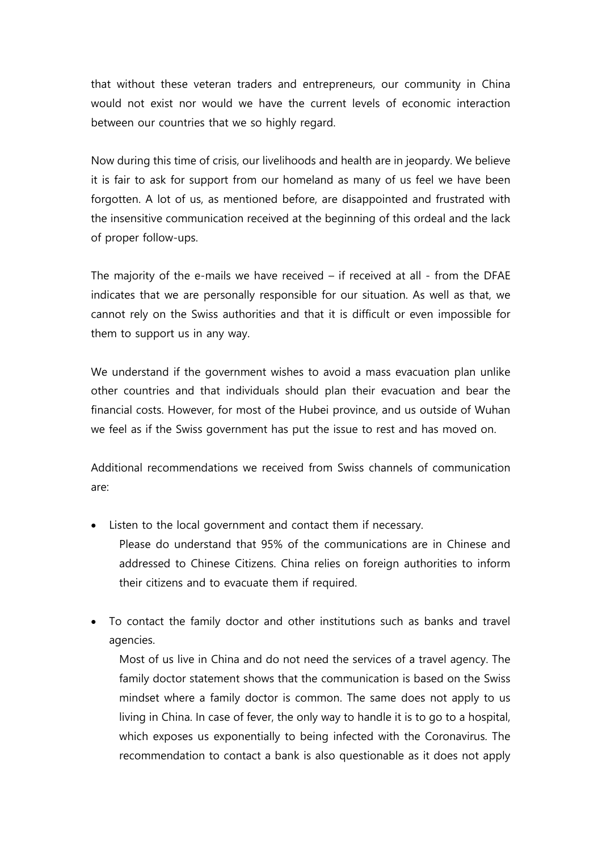that without these veteran traders and entrepreneurs, our community in China would not exist nor would we have the current levels of economic interaction between our countries that we so highly regard.

Now during this time of crisis, our livelihoods and health are in jeopardy. We believe it is fair to ask for support from our homeland as many of us feel we have been forgotten. A lot of us, as mentioned before, are disappointed and frustrated with the insensitive communication received at the beginning of this ordeal and the lack of proper follow-ups.

The majority of the e-mails we have received – if received at all - from the DFAE indicates that we are personally responsible for our situation. As well as that, we cannot rely on the Swiss authorities and that it is difficult or even impossible for them to support us in any way.

We understand if the government wishes to avoid a mass evacuation plan unlike other countries and that individuals should plan their evacuation and bear the financial costs. However, for most of the Hubei province, and us outside of Wuhan we feel as if the Swiss government has put the issue to rest and has moved on.

Additional recommendations we received from Swiss channels of communication are:

- Listen to the local government and contact them if necessary.
	- Please do understand that 95% of the communications are in Chinese and addressed to Chinese Citizens. China relies on foreign authorities to inform their citizens and to evacuate them if required.
- To contact the family doctor and other institutions such as banks and travel agencies.

Most of us live in China and do not need the services of a travel agency. The family doctor statement shows that the communication is based on the Swiss mindset where a family doctor is common. The same does not apply to us living in China. In case of fever, the only way to handle it is to go to a hospital, which exposes us exponentially to being infected with the Coronavirus. The recommendation to contact a bank is also questionable as it does not apply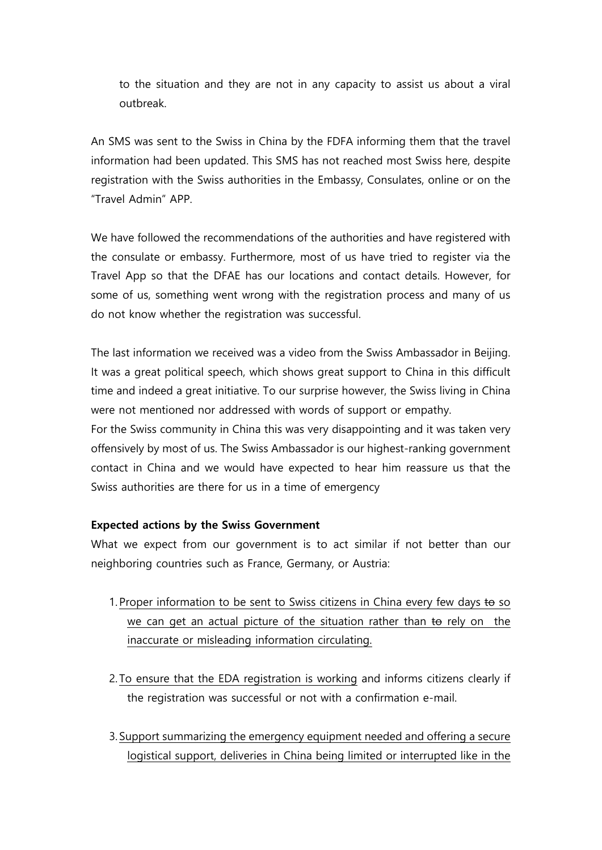to the situation and they are not in any capacity to assist us about a viral outbreak.

An SMS was sent to the Swiss in China by the FDFA informing them that the travel information had been updated. This SMS has not reached most Swiss here, despite registration with the Swiss authorities in the Embassy, Consulates, online or on the "Travel Admin" APP.

We have followed the recommendations of the authorities and have registered with the consulate or embassy. Furthermore, most of us have tried to register via the Travel App so that the DFAE has our locations and contact details. However, for some of us, something went wrong with the registration process and many of us do not know whether the registration was successful.

The last information we received was a video from the Swiss Ambassador in Beijing. It was a great political speech, which shows great support to China in this difficult time and indeed a great initiative. To our surprise however, the Swiss living in China were not mentioned nor addressed with words of support or empathy.

For the Swiss community in China this was very disappointing and it was taken very offensively by most of us. The Swiss Ambassador is our highest-ranking government contact in China and we would have expected to hear him reassure us that the Swiss authorities are there for us in a time of emergency

# **Expected actions by the Swiss Government**

What we expect from our government is to act similar if not better than our neighboring countries such as France, Germany, or Austria:

- 1. Proper information to be sent to Swiss citizens in China every few days to so we can get an actual picture of the situation rather than  $t\theta$  rely on the inaccurate or misleading information circulating.
- 2. To ensure that the EDA registration is working and informs citizens clearly if the registration was successful or not with a confirmation e-mail.
- 3. Support summarizing the emergency equipment needed and offering a secure logistical support, deliveries in China being limited or interrupted like in the